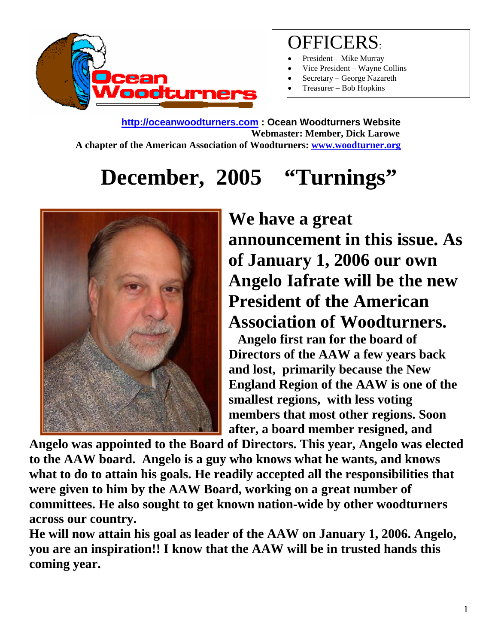

### OFFICERS:

- President Mike Murray
- Vice President Wayne Collins
- Secretary George Nazareth
- Treasurer Bob Hopkins

**http://oceanwoodturners.com : Ocean Woodturners Website Webmaster: Member, Dick Larowe A chapter of the American Association of Woodturners: www.woodturner.org** 

# **December, 2005 "Turnings"**



**We have a great announcement in this issue. As of January 1, 2006 our own Angelo Iafrate will be the new President of the American Association of Woodturners.** 

 **Angelo first ran for the board of Directors of the AAW a few years back and lost, primarily because the New England Region of the AAW is one of the smallest regions, with less voting members that most other regions. Soon after, a board member resigned, and** 

**Angelo was appointed to the Board of Directors. This year, Angelo was elected to the AAW board. Angelo is a guy who knows what he wants, and knows what to do to attain his goals. He readily accepted all the responsibilities that were given to him by the AAW Board, working on a great number of committees. He also sought to get known nation-wide by other woodturners across our country.** 

**He will now attain his goal as leader of the AAW on January 1, 2006. Angelo, you are an inspiration!! I know that the AAW will be in trusted hands this coming year.**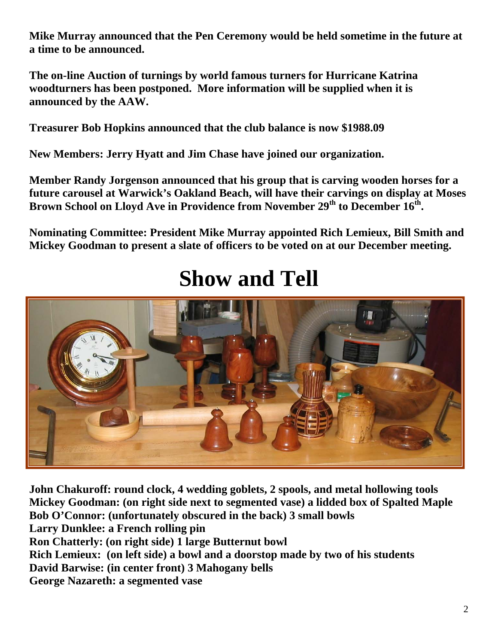**Mike Murray announced that the Pen Ceremony would be held sometime in the future at a time to be announced.** 

**The on-line Auction of turnings by world famous turners for Hurricane Katrina woodturners has been postponed. More information will be supplied when it is announced by the AAW.**

**Treasurer Bob Hopkins announced that the club balance is now \$1988.09** 

**New Members: Jerry Hyatt and Jim Chase have joined our organization.** 

**Member Randy Jorgenson announced that his group that is carving wooden horses for a future carousel at Warwick's Oakland Beach, will have their carvings on display at Moses**  Brown School on Lloyd Ave in Providence from November  $29<sup>th</sup>$  to December  $16<sup>th</sup>$ .

**Nominating Committee: President Mike Murray appointed Rich Lemieux, Bill Smith and Mickey Goodman to present a slate of officers to be voted on at our December meeting.** 

## **Show and Tell**



**John Chakuroff: round clock, 4 wedding goblets, 2 spools, and metal hollowing tools Mickey Goodman: (on right side next to segmented vase) a lidded box of Spalted Maple Bob O'Connor: (unfortunately obscured in the back) 3 small bowls Larry Dunklee: a French rolling pin Ron Chatterly: (on right side) 1 large Butternut bowl Rich Lemieux: (on left side) a bowl and a doorstop made by two of his students David Barwise: (in center front) 3 Mahogany bells George Nazareth: a segmented vase**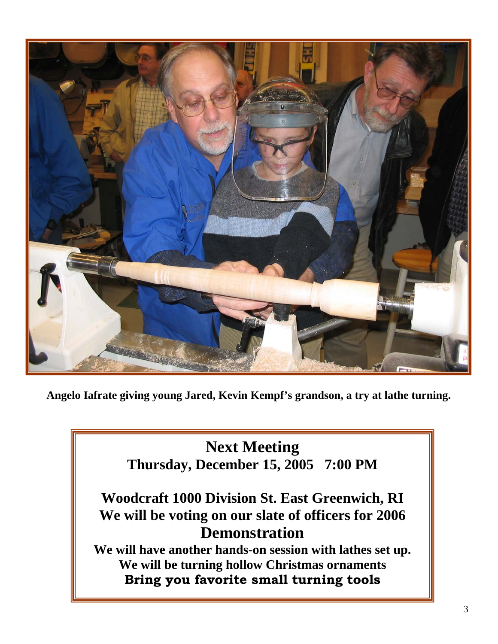

**Angelo Iafrate giving young Jared, Kevin Kempf's grandson, a try at lathe turning.** 

#### **Next Meeting Thursday, December 15, 2005 7:00 PM**

#### **Woodcraft 1000 Division St. East Greenwich, RI We will be voting on our slate of officers for 2006 Demonstration**

**We will have another hands-on session with lathes set up. We will be turning hollow Christmas ornaments Bring you favorite small turning tools**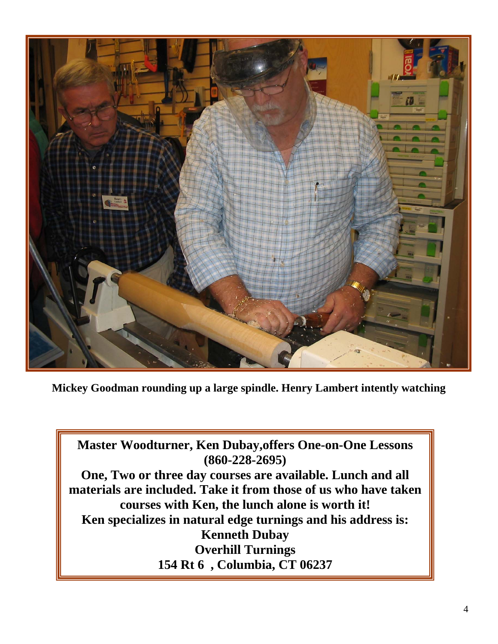

**Mickey Goodman rounding up a large spindle. Henry Lambert intently watching** 

**Master Woodturner, Ken Dubay,offers One-on-One Lessons (860-228-2695) One, Two or three day courses are available. Lunch and all materials are included. Take it from those of us who have taken courses with Ken, the lunch alone is worth it! Ken specializes in natural edge turnings and his address is: Kenneth Dubay Overhill Turnings 154 Rt 6 , Columbia, CT 06237**